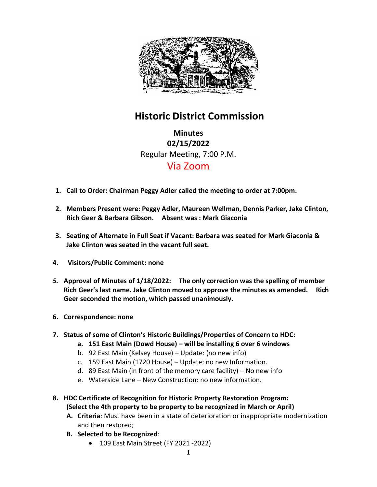

## **Historic District Commission**

**Minutes 02/15/2022** Regular Meeting, 7:00 P.M. Via Zoom

- **1. Call to Order: Chairman Peggy Adler called the meeting to order at 7:00pm.**
- **2. Members Present were: Peggy Adler, Maureen Wellman, Dennis Parker, Jake Clinton, Rich Geer & Barbara Gibson. Absent was : Mark Giaconia**
- **3. Seating of Alternate in Full Seat if Vacant: Barbara was seated for Mark Giaconia & Jake Clinton was seated in the vacant full seat.**
- **4. Visitors/Public Comment: none**
- *5.* **Approval of Minutes of 1/18/2022: The only correction was the spelling of member Rich Geer's last name. Jake Clinton moved to approve the minutes as amended. Rich Geer seconded the motion, which passed unanimously.**
- **6. Correspondence: none**
- **7. Status of some of Clinton's Historic Buildings/Properties of Concern to HDC:**
	- **a. 151 East Main (Dowd House) – will be installing 6 over 6 windows**
	- b. 92 East Main (Kelsey House) Update: (no new info)
	- c. 159 East Main (1720 House) Update: no new Information.
	- d. 89 East Main (in front of the memory care facility) No new info
	- e. Waterside Lane New Construction: no new information.
- **8. HDC Certificate of Recognition for Historic Property Restoration Program: (Select the 4th property to be property to be recognized in March or April)** 
	- **A. Criteria**: Must have been in a state of deterioration or inappropriate modernization and then restored;
	- **B. Selected to be Recognized**:
		- 109 East Main Street (FY 2021 2022)